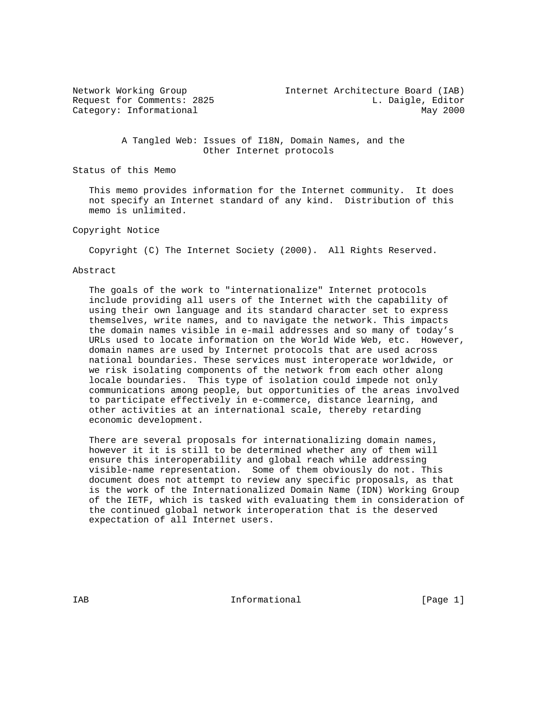| Network Working Group      | Internet Architecture Board (IAB) |
|----------------------------|-----------------------------------|
| Request for Comments: 2825 | L. Daigle, Editor                 |
| Category: Informational    | May 2000                          |
|                            |                                   |

 A Tangled Web: Issues of I18N, Domain Names, and the Other Internet protocols

Status of this Memo

 This memo provides information for the Internet community. It does not specify an Internet standard of any kind. Distribution of this memo is unlimited.

### Copyright Notice

Copyright (C) The Internet Society (2000). All Rights Reserved.

#### Abstract

 The goals of the work to "internationalize" Internet protocols include providing all users of the Internet with the capability of using their own language and its standard character set to express themselves, write names, and to navigate the network. This impacts the domain names visible in e-mail addresses and so many of today's URLs used to locate information on the World Wide Web, etc. However, domain names are used by Internet protocols that are used across national boundaries. These services must interoperate worldwide, or we risk isolating components of the network from each other along locale boundaries. This type of isolation could impede not only communications among people, but opportunities of the areas involved to participate effectively in e-commerce, distance learning, and other activities at an international scale, thereby retarding economic development.

 There are several proposals for internationalizing domain names, however it it is still to be determined whether any of them will ensure this interoperability and global reach while addressing visible-name representation. Some of them obviously do not. This document does not attempt to review any specific proposals, as that is the work of the Internationalized Domain Name (IDN) Working Group of the IETF, which is tasked with evaluating them in consideration of the continued global network interoperation that is the deserved expectation of all Internet users.

IAB 188 CHA Informational The Informational (Page 1)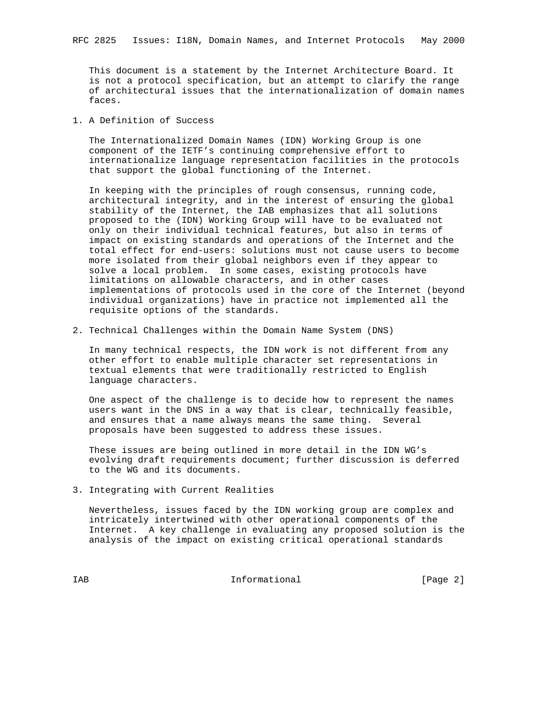This document is a statement by the Internet Architecture Board. It is not a protocol specification, but an attempt to clarify the range of architectural issues that the internationalization of domain names faces.

1. A Definition of Success

 The Internationalized Domain Names (IDN) Working Group is one component of the IETF's continuing comprehensive effort to internationalize language representation facilities in the protocols that support the global functioning of the Internet.

 In keeping with the principles of rough consensus, running code, architectural integrity, and in the interest of ensuring the global stability of the Internet, the IAB emphasizes that all solutions proposed to the (IDN) Working Group will have to be evaluated not only on their individual technical features, but also in terms of impact on existing standards and operations of the Internet and the total effect for end-users: solutions must not cause users to become more isolated from their global neighbors even if they appear to solve a local problem. In some cases, existing protocols have limitations on allowable characters, and in other cases implementations of protocols used in the core of the Internet (beyond individual organizations) have in practice not implemented all the requisite options of the standards.

2. Technical Challenges within the Domain Name System (DNS)

 In many technical respects, the IDN work is not different from any other effort to enable multiple character set representations in textual elements that were traditionally restricted to English language characters.

 One aspect of the challenge is to decide how to represent the names users want in the DNS in a way that is clear, technically feasible, and ensures that a name always means the same thing. Several proposals have been suggested to address these issues.

 These issues are being outlined in more detail in the IDN WG's evolving draft requirements document; further discussion is deferred to the WG and its documents.

3. Integrating with Current Realities

 Nevertheless, issues faced by the IDN working group are complex and intricately intertwined with other operational components of the Internet. A key challenge in evaluating any proposed solution is the analysis of the impact on existing critical operational standards

IAB 188 CHA Informational The Informational (Page 2)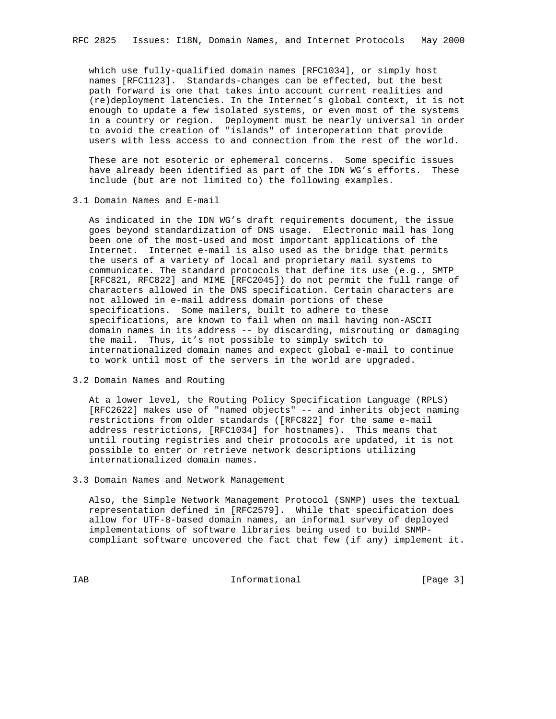which use fully-qualified domain names [RFC1034], or simply host names [RFC1123]. Standards-changes can be effected, but the best path forward is one that takes into account current realities and (re)deployment latencies. In the Internet's global context, it is not enough to update a few isolated systems, or even most of the systems in a country or region. Deployment must be nearly universal in order to avoid the creation of "islands" of interoperation that provide users with less access to and connection from the rest of the world.

 These are not esoteric or ephemeral concerns. Some specific issues have already been identified as part of the IDN WG's efforts. These include (but are not limited to) the following examples.

3.1 Domain Names and E-mail

 As indicated in the IDN WG's draft requirements document, the issue goes beyond standardization of DNS usage. Electronic mail has long been one of the most-used and most important applications of the Internet. Internet e-mail is also used as the bridge that permits the users of a variety of local and proprietary mail systems to communicate. The standard protocols that define its use (e.g., SMTP [RFC821, RFC822] and MIME [RFC2045]) do not permit the full range of characters allowed in the DNS specification. Certain characters are not allowed in e-mail address domain portions of these specifications. Some mailers, built to adhere to these specifications, are known to fail when on mail having non-ASCII domain names in its address -- by discarding, misrouting or damaging the mail. Thus, it's not possible to simply switch to internationalized domain names and expect global e-mail to continue to work until most of the servers in the world are upgraded.

3.2 Domain Names and Routing

 At a lower level, the Routing Policy Specification Language (RPLS) [RFC2622] makes use of "named objects" -- and inherits object naming restrictions from older standards ([RFC822] for the same e-mail address restrictions, [RFC1034] for hostnames). This means that until routing registries and their protocols are updated, it is not possible to enter or retrieve network descriptions utilizing internationalized domain names.

3.3 Domain Names and Network Management

 Also, the Simple Network Management Protocol (SNMP) uses the textual representation defined in [RFC2579]. While that specification does allow for UTF-8-based domain names, an informal survey of deployed implementations of software libraries being used to build SNMP compliant software uncovered the fact that few (if any) implement it.

IAB Informational [Page 3]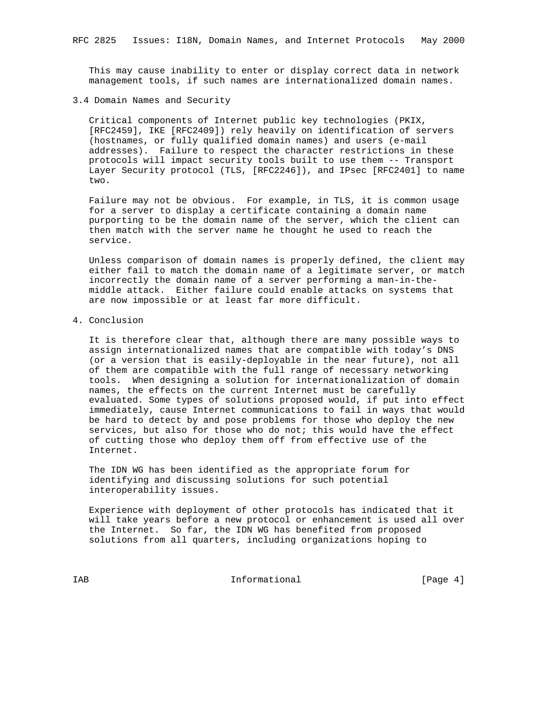This may cause inability to enter or display correct data in network management tools, if such names are internationalized domain names.

#### 3.4 Domain Names and Security

 Critical components of Internet public key technologies (PKIX, [RFC2459], IKE [RFC2409]) rely heavily on identification of servers (hostnames, or fully qualified domain names) and users (e-mail addresses). Failure to respect the character restrictions in these protocols will impact security tools built to use them -- Transport Layer Security protocol (TLS, [RFC2246]), and IPsec [RFC2401] to name two.

 Failure may not be obvious. For example, in TLS, it is common usage for a server to display a certificate containing a domain name purporting to be the domain name of the server, which the client can then match with the server name he thought he used to reach the service.

 Unless comparison of domain names is properly defined, the client may either fail to match the domain name of a legitimate server, or match incorrectly the domain name of a server performing a man-in-the middle attack. Either failure could enable attacks on systems that are now impossible or at least far more difficult.

### 4. Conclusion

 It is therefore clear that, although there are many possible ways to assign internationalized names that are compatible with today's DNS (or a version that is easily-deployable in the near future), not all of them are compatible with the full range of necessary networking tools. When designing a solution for internationalization of domain names, the effects on the current Internet must be carefully evaluated. Some types of solutions proposed would, if put into effect immediately, cause Internet communications to fail in ways that would be hard to detect by and pose problems for those who deploy the new services, but also for those who do not; this would have the effect of cutting those who deploy them off from effective use of the Internet.

 The IDN WG has been identified as the appropriate forum for identifying and discussing solutions for such potential interoperability issues.

 Experience with deployment of other protocols has indicated that it will take years before a new protocol or enhancement is used all over the Internet. So far, the IDN WG has benefited from proposed solutions from all quarters, including organizations hoping to

IAB Informational [Page 4]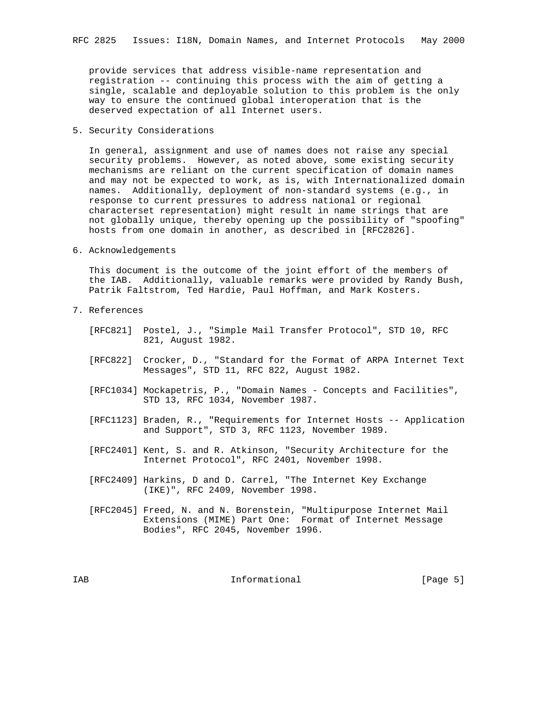provide services that address visible-name representation and registration -- continuing this process with the aim of getting a single, scalable and deployable solution to this problem is the only way to ensure the continued global interoperation that is the deserved expectation of all Internet users.

## 5. Security Considerations

 In general, assignment and use of names does not raise any special security problems. However, as noted above, some existing security mechanisms are reliant on the current specification of domain names and may not be expected to work, as is, with Internationalized domain names. Additionally, deployment of non-standard systems (e.g., in response to current pressures to address national or regional characterset representation) might result in name strings that are not globally unique, thereby opening up the possibility of "spoofing" hosts from one domain in another, as described in [RFC2826].

#### 6. Acknowledgements

 This document is the outcome of the joint effort of the members of the IAB. Additionally, valuable remarks were provided by Randy Bush, Patrik Faltstrom, Ted Hardie, Paul Hoffman, and Mark Kosters.

- 7. References
	- [RFC821] Postel, J., "Simple Mail Transfer Protocol", STD 10, RFC 821, August 1982.
	- [RFC822] Crocker, D., "Standard for the Format of ARPA Internet Text Messages", STD 11, RFC 822, August 1982.
	- [RFC1034] Mockapetris, P., "Domain Names Concepts and Facilities", STD 13, RFC 1034, November 1987.
	- [RFC1123] Braden, R., "Requirements for Internet Hosts -- Application and Support", STD 3, RFC 1123, November 1989.
	- [RFC2401] Kent, S. and R. Atkinson, "Security Architecture for the Internet Protocol", RFC 2401, November 1998.
	- [RFC2409] Harkins, D and D. Carrel, "The Internet Key Exchange (IKE)", RFC 2409, November 1998.
	- [RFC2045] Freed, N. and N. Borenstein, "Multipurpose Internet Mail Extensions (MIME) Part One: Format of Internet Message Bodies", RFC 2045, November 1996.

IAB 188 CHA Informational The Informational (Page 5)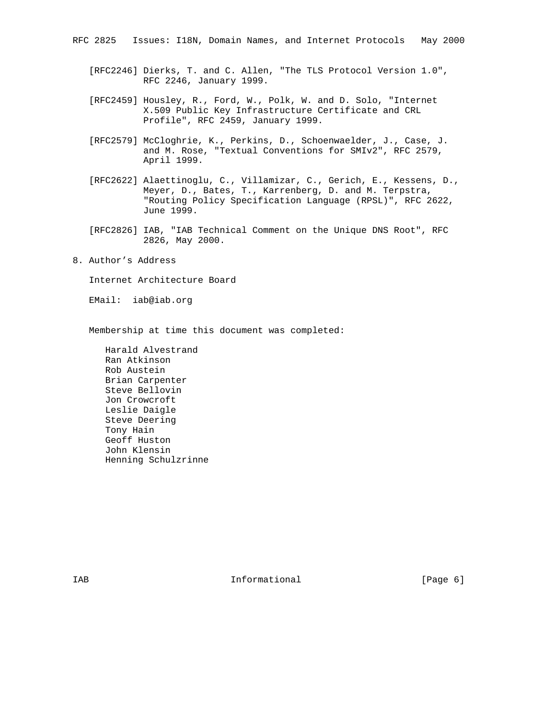- [RFC2246] Dierks, T. and C. Allen, "The TLS Protocol Version 1.0", RFC 2246, January 1999.
- [RFC2459] Housley, R., Ford, W., Polk, W. and D. Solo, "Internet X.509 Public Key Infrastructure Certificate and CRL Profile", RFC 2459, January 1999.
- [RFC2579] McCloghrie, K., Perkins, D., Schoenwaelder, J., Case, J. and M. Rose, "Textual Conventions for SMIv2", RFC 2579, April 1999.
- [RFC2622] Alaettinoglu, C., Villamizar, C., Gerich, E., Kessens, D., Meyer, D., Bates, T., Karrenberg, D. and M. Terpstra, "Routing Policy Specification Language (RPSL)", RFC 2622, June 1999.
- [RFC2826] IAB, "IAB Technical Comment on the Unique DNS Root", RFC 2826, May 2000.
- 8. Author's Address

Internet Architecture Board

EMail: iab@iab.org

Membership at time this document was completed:

 Harald Alvestrand Ran Atkinson Rob Austein Brian Carpenter Steve Bellovin Jon Crowcroft Leslie Daigle Steve Deering Tony Hain Geoff Huston John Klensin Henning Schulzrinne

IAB 188 and 100 mm informational the state of  $\left[$ Page 6 $\right]$